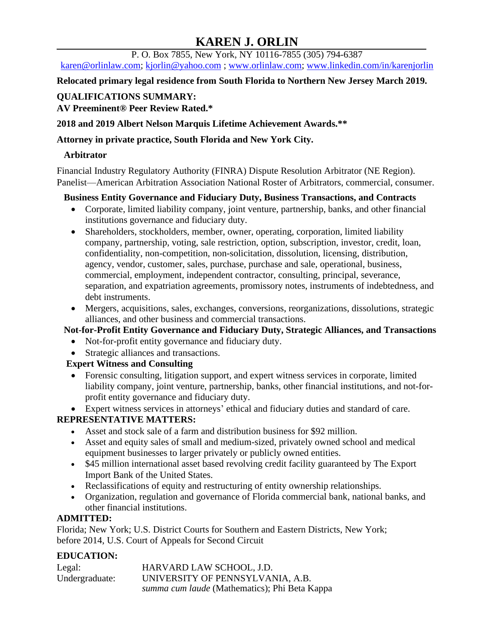# **KAREN J. ORLIN**

P. O. Box 7855, New York, NY 10116-7855 (305) 794-6387

[karen@orlinlaw.com;](mailto:karen@orlinlaw.com) [kjorlin@yahoo.com](mailto:kjorlin@yahoo.com) ; [www.orlinlaw.com;](http://www.orlinlaw.com/) [www.linkedin.com/in/karenjorlin](http://www.linkedin.com/in/karenjorlin)

**Relocated primary legal residence from South Florida to Northern New Jersey March 2019.**

# **QUALIFICATIONS SUMMARY:**

# **AV Preeminent® Peer Review Rated.\***

**2018 and 2019 Albert Nelson Marquis Lifetime Achievement Awards.\*\*** 

### **Attorney in private practice, South Florida and New York City.**

### **Arbitrator**

Financial Industry Regulatory Authority (FINRA) Dispute Resolution Arbitrator (NE Region). Panelist—American Arbitration Association National Roster of Arbitrators, commercial, consumer.

### **Business Entity Governance and Fiduciary Duty, Business Transactions, and Contracts**

- Corporate, limited liability company, joint venture, partnership, banks, and other financial institutions governance and fiduciary duty.
- Shareholders, stockholders, member, owner, operating, corporation, limited liability company, partnership, voting, sale restriction, option, subscription, investor, credit, loan, confidentiality, non-competition, non-solicitation, dissolution, licensing, distribution, agency, vendor, customer, sales, purchase, purchase and sale, operational, business, commercial, employment, independent contractor, consulting, principal, severance, separation, and expatriation agreements, promissory notes, instruments of indebtedness, and debt instruments.
- Mergers, acquisitions, sales, exchanges, conversions, reorganizations, dissolutions, strategic alliances, and other business and commercial transactions.

# **Not-for-Profit Entity Governance and Fiduciary Duty, Strategic Alliances, and Transactions**

- Not-for-profit entity governance and fiduciary duty.
- Strategic alliances and transactions.

# **Expert Witness and Consulting**

• Forensic consulting, litigation support, and expert witness services in corporate, limited liability company, joint venture, partnership, banks, other financial institutions, and not-forprofit entity governance and fiduciary duty.

• Expert witness services in attorneys' ethical and fiduciary duties and standard of care. **REPRESENTATIVE MATTERS:**

- Asset and stock sale of a farm and distribution business for \$92 million.
- Asset and equity sales of small and medium-sized, privately owned school and medical equipment businesses to larger privately or publicly owned entities.
- \$45 million international asset based revolving credit facility guaranteed by The Export Import Bank of the United States.
- Reclassifications of equity and restructuring of entity ownership relationships.
- Organization, regulation and governance of Florida commercial bank, national banks, and other financial institutions.

# **ADMITTED:**

Florida; New York; U.S. District Courts for Southern and Eastern Districts, New York; before 2014, U.S. Court of Appeals for Second Circuit

# **EDUCATION:**

| Legal:         | HARVARD LAW SCHOOL, J.D.                             |
|----------------|------------------------------------------------------|
| Undergraduate: | UNIVERSITY OF PENNSYLVANIA, A.B.                     |
|                | <i>summa cum laude</i> (Mathematics); Phi Beta Kappa |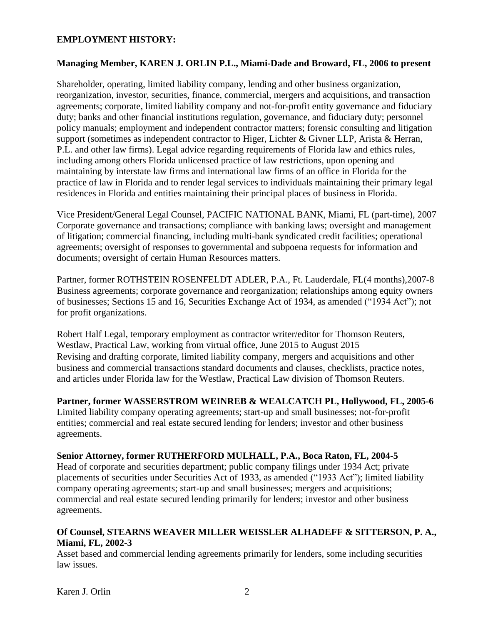#### **EMPLOYMENT HISTORY:**

#### **Managing Member, KAREN J. ORLIN P.L., Miami-Dade and Broward, FL, 2006 to present**

Shareholder, operating, limited liability company, lending and other business organization, reorganization, investor, securities, finance, commercial, mergers and acquisitions, and transaction agreements; corporate, limited liability company and not-for-profit entity governance and fiduciary duty; banks and other financial institutions regulation, governance, and fiduciary duty; personnel policy manuals; employment and independent contractor matters; forensic consulting and litigation support (sometimes as independent contractor to Higer, Lichter & Givner LLP, Arista & Herran, P.L. and other law firms). Legal advice regarding requirements of Florida law and ethics rules, including among others Florida unlicensed practice of law restrictions, upon opening and maintaining by interstate law firms and international law firms of an office in Florida for the practice of law in Florida and to render legal services to individuals maintaining their primary legal residences in Florida and entities maintaining their principal places of business in Florida.

Vice President/General Legal Counsel, PACIFIC NATIONAL BANK, Miami, FL (part-time), 2007 Corporate governance and transactions; compliance with banking laws; oversight and management of litigation; commercial financing, including multi-bank syndicated credit facilities; operational agreements; oversight of responses to governmental and subpoena requests for information and documents; oversight of certain Human Resources matters.

Partner, former ROTHSTEIN ROSENFELDT ADLER, P.A., Ft. Lauderdale, FL(4 months),2007-8 Business agreements; corporate governance and reorganization; relationships among equity owners of businesses; Sections 15 and 16, Securities Exchange Act of 1934, as amended ("1934 Act"); not for profit organizations.

Robert Half Legal, temporary employment as contractor writer/editor for Thomson Reuters, Westlaw, Practical Law, working from virtual office, June 2015 to August 2015 Revising and drafting corporate, limited liability company, mergers and acquisitions and other business and commercial transactions standard documents and clauses, checklists, practice notes, and articles under Florida law for the Westlaw, Practical Law division of Thomson Reuters.

#### **Partner, former WASSERSTROM WEINREB & WEALCATCH PL, Hollywood, FL, 2005-6**

Limited liability company operating agreements; start-up and small businesses; not-for-profit entities; commercial and real estate secured lending for lenders; investor and other business agreements.

#### **Senior Attorney, former RUTHERFORD MULHALL, P.A., Boca Raton, FL, 2004-5**

Head of corporate and securities department; public company filings under 1934 Act; private placements of securities under Securities Act of 1933, as amended ("1933 Act"); limited liability company operating agreements; start-up and small businesses; mergers and acquisitions; commercial and real estate secured lending primarily for lenders; investor and other business agreements.

#### **Of Counsel, STEARNS WEAVER MILLER WEISSLER ALHADEFF & SITTERSON, P. A., Miami, FL, 2002-3**

Asset based and commercial lending agreements primarily for lenders, some including securities law issues.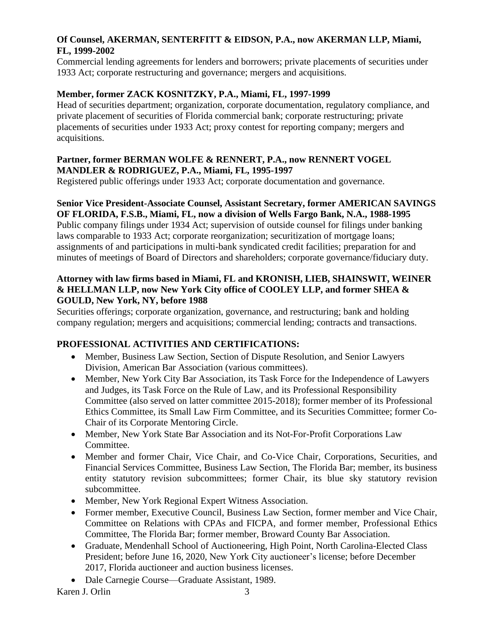### **Of Counsel, AKERMAN, SENTERFITT & EIDSON, P.A., now AKERMAN LLP, Miami, FL, 1999-2002**

Commercial lending agreements for lenders and borrowers; private placements of securities under 1933 Act; corporate restructuring and governance; mergers and acquisitions.

### **Member, former ZACK KOSNITZKY, P.A., Miami, FL, 1997-1999**

Head of securities department; organization, corporate documentation, regulatory compliance, and private placement of securities of Florida commercial bank; corporate restructuring; private placements of securities under 1933 Act; proxy contest for reporting company; mergers and acquisitions.

### **Partner, former BERMAN WOLFE & RENNERT, P.A., now RENNERT VOGEL MANDLER & RODRIGUEZ, P.A., Miami, FL, 1995-1997**

Registered public offerings under 1933 Act; corporate documentation and governance.

### **Senior Vice President-Associate Counsel, Assistant Secretary, former AMERICAN SAVINGS OF FLORIDA, F.S.B., Miami, FL, now a division of Wells Fargo Bank, N.A., 1988-1995**

Public company filings under 1934 Act; supervision of outside counsel for filings under banking laws comparable to 1933 Act; corporate reorganization; securitization of mortgage loans; assignments of and participations in multi-bank syndicated credit facilities; preparation for and minutes of meetings of Board of Directors and shareholders; corporate governance/fiduciary duty.

### **Attorney with law firms based in Miami, FL and KRONISH, LIEB, SHAINSWIT, WEINER & HELLMAN LLP, now New York City office of COOLEY LLP, and former SHEA & GOULD, New York, NY, before 1988**

Securities offerings; corporate organization, governance, and restructuring; bank and holding company regulation; mergers and acquisitions; commercial lending; contracts and transactions.

# **PROFESSIONAL ACTIVITIES AND CERTIFICATIONS:**

- Member, Business Law Section, Section of Dispute Resolution, and Senior Lawyers Division, American Bar Association (various committees).
- Member, New York City Bar Association, its Task Force for the Independence of Lawyers and Judges, its Task Force on the Rule of Law, and its Professional Responsibility Committee (also served on latter committee 2015-2018); former member of its Professional Ethics Committee, its Small Law Firm Committee, and its Securities Committee; former Co-Chair of its Corporate Mentoring Circle.
- Member, New York State Bar Association and its Not-For-Profit Corporations Law Committee.
- Member and former Chair, Vice Chair, and Co-Vice Chair, Corporations, Securities, and Financial Services Committee, Business Law Section, The Florida Bar; member, its business entity statutory revision subcommittees; former Chair, its blue sky statutory revision subcommittee.
- Member, New York Regional Expert Witness Association.
- Former member, Executive Council, Business Law Section, former member and Vice Chair, Committee on Relations with CPAs and FICPA, and former member, Professional Ethics Committee, The Florida Bar; former member, Broward County Bar Association.
- Graduate, Mendenhall School of Auctioneering, High Point, North Carolina-Elected Class President; before June 16, 2020, New York City auctioneer's license; before December 2017, Florida auctioneer and auction business licenses.
- Dale Carnegie Course—Graduate Assistant, 1989.

Karen J. Orlin 3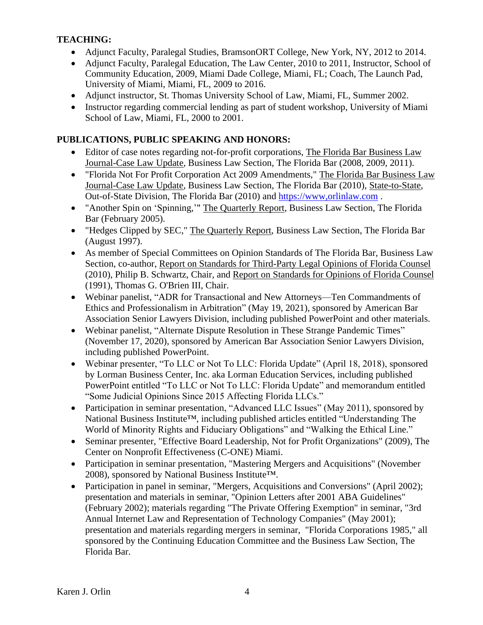### **TEACHING:**

- Adjunct Faculty, Paralegal Studies, BramsonORT College, New York, NY, 2012 to 2014.
- Adjunct Faculty, Paralegal Education, The Law Center, 2010 to 2011, Instructor, School of Community Education, 2009, Miami Dade College, Miami, FL; Coach, The Launch Pad, University of Miami, Miami, FL, 2009 to 2016.
- Adjunct instructor, St. Thomas University School of Law, Miami, FL, Summer 2002.
- Instructor regarding commercial lending as part of student workshop, University of Miami School of Law, Miami, FL, 2000 to 2001.

### **PUBLICATIONS, PUBLIC SPEAKING AND HONORS:**

- Editor of case notes regarding not-for-profit corporations, The Florida Bar Business Law Journal-Case Law Update, Business Law Section, The Florida Bar (2008, 2009, 2011).
- "Florida Not For Profit Corporation Act 2009 Amendments," The Florida Bar Business Law Journal-Case Law Update, Business Law Section, The Florida Bar (2010), State-to-State, Out-of-State Division, The Florida Bar (2010) and [https://www,orlinlaw.com](https://www,orlinlaw.com/) .
- "Another Spin on 'Spinning,'" The Quarterly Report, Business Law Section, The Florida Bar (February 2005).
- "Hedges Clipped by SEC," The Quarterly Report, Business Law Section, The Florida Bar (August 1997).
- As member of Special Committees on Opinion Standards of The Florida Bar, Business Law Section, co-author, Report on Standards for Third-Party Legal Opinions of Florida Counsel (2010), Philip B. Schwartz, Chair, and Report on Standards for Opinions of Florida Counsel (1991), Thomas G. O'Brien III, Chair.
- Webinar panelist, "ADR for Transactional and New Attorneys—Ten Commandments of Ethics and Professionalism in Arbitration" (May 19, 2021), sponsored by American Bar Association Senior Lawyers Division, including published PowerPoint and other materials.
- Webinar panelist, "Alternate Dispute Resolution in These Strange Pandemic Times" (November 17, 2020), sponsored by American Bar Association Senior Lawyers Division, including published PowerPoint.
- Webinar presenter, "To LLC or Not To LLC: Florida Update" (April 18, 2018), sponsored by Lorman Business Center, Inc. aka Lorman Education Services, including published PowerPoint entitled "To LLC or Not To LLC: Florida Update" and memorandum entitled "Some Judicial Opinions Since 2015 Affecting Florida LLCs."
- Participation in seminar presentation, "Advanced LLC Issues" (May 2011), sponsored by National Business Institute<sup>™</sup>, including published articles entitled "Understanding The World of Minority Rights and Fiduciary Obligations" and "Walking the Ethical Line."
- Seminar presenter, "Effective Board Leadership, Not for Profit Organizations" (2009), The Center on Nonprofit Effectiveness (C-ONE) Miami.
- Participation in seminar presentation, "Mastering Mergers and Acquisitions" (November 2008), sponsored by National Business Institute™.
- Participation in panel in seminar, "Mergers, Acquisitions and Conversions" (April 2002); presentation and materials in seminar, "Opinion Letters after 2001 ABA Guidelines" (February 2002); materials regarding "The Private Offering Exemption" in seminar, "3rd Annual Internet Law and Representation of Technology Companies" (May 2001); presentation and materials regarding mergers in seminar, "Florida Corporations 1985," all sponsored by the Continuing Education Committee and the Business Law Section, The Florida Bar.